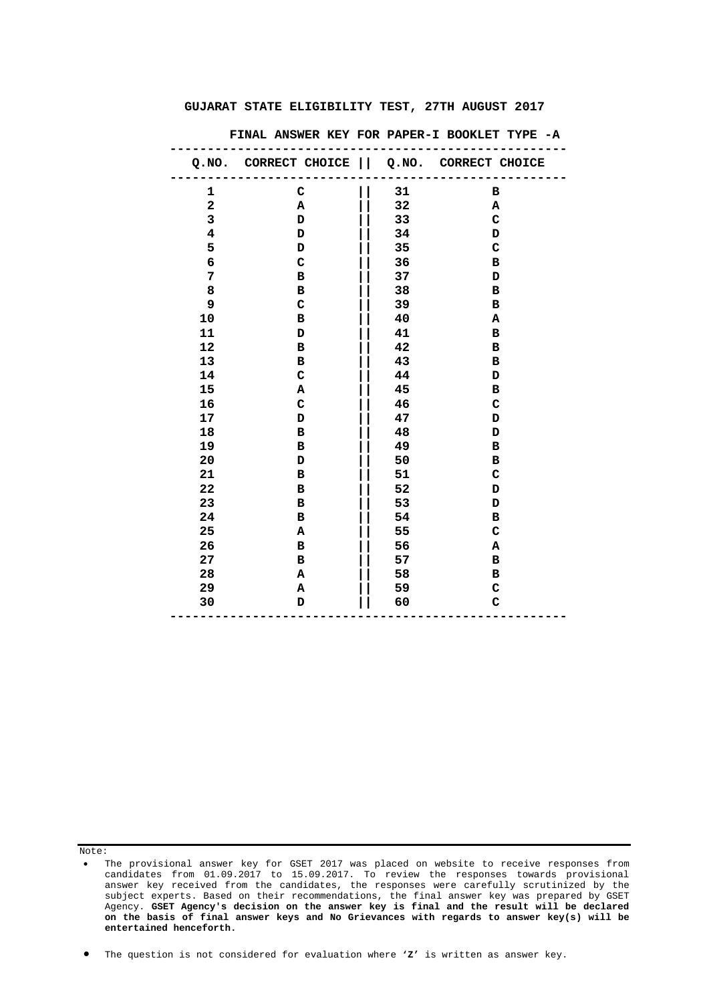|                         | Q.NO. CORRECT CHOICE     Q.NO. CORRECT CHOICE |    |             |
|-------------------------|-----------------------------------------------|----|-------------|
| 1                       | $\mathbf C$                                   | 31 | в           |
| $\overline{\mathbf{2}}$ | $\mathbf A$                                   | 32 | Α           |
| 3                       | $\mathbf D$                                   | 33 | $\mathbf C$ |
| 4                       | D                                             | 34 | D           |
| 5                       | $\mathbf{D}$                                  | 35 | C           |
| 6                       | $\mathbf C$                                   | 36 | $\mathbf B$ |
| 7                       | в                                             | 37 | D           |
| 8                       | в                                             | 38 | в           |
| 9                       | $\mathbf C$                                   | 39 | $\mathbf B$ |
| 10                      | в                                             | 40 | Α           |
| ${\bf 11}$              | D                                             | 41 | в           |
| 12                      | в                                             | 42 | в           |
| 13                      | в                                             | 43 | в           |
| 14                      | $\mathbf C$                                   | 44 | D           |
| 15                      | Α                                             | 45 | в           |
| 16                      | $\mathbf C$                                   | 46 | $\mathbf C$ |
| 17                      | D                                             | 47 | D           |
| 18                      | в                                             | 48 | D           |
| 19                      | в                                             | 49 | в           |
| 20                      | D                                             | 50 | в           |
| 21                      | в                                             | 51 | $\mathbf C$ |
| 22                      | в                                             | 52 | D           |
| 23                      | в                                             | 53 | D           |
| 24                      | $\mathbf B$                                   | 54 | в           |
| 25                      | Α                                             | 55 | C           |
| 26                      | в                                             | 56 | Α           |
| 27                      | в                                             | 57 | в           |
| 28                      | Α                                             | 58 | в           |
| 29                      | А                                             | 59 | C           |
| 30                      | D                                             | 60 | $\mathbf C$ |
|                         |                                               |    |             |

 **FINAL ANSWER KEY FOR PAPER-I BOOKLET TYPE -A** 

Note:

<sup>•</sup> The provisional answer key for GSET 2017 was placed on website to receive responses from candidates from 01.09.2017 to 15.09.2017. To review the responses towards provisional answer key received from the candidates, the responses were carefully scrutinized by the subject experts. Based on their recommendations, the final answer key was prepared by GSET Agency. **GSET Agency's decision on the answer key is final and the result will be declared on the basis of final answer keys and No Grievances with regards to answer key(s) will be entertained henceforth.**

<sup>•</sup> The question is not considered for evaluation where **'Z'** is written as answer key.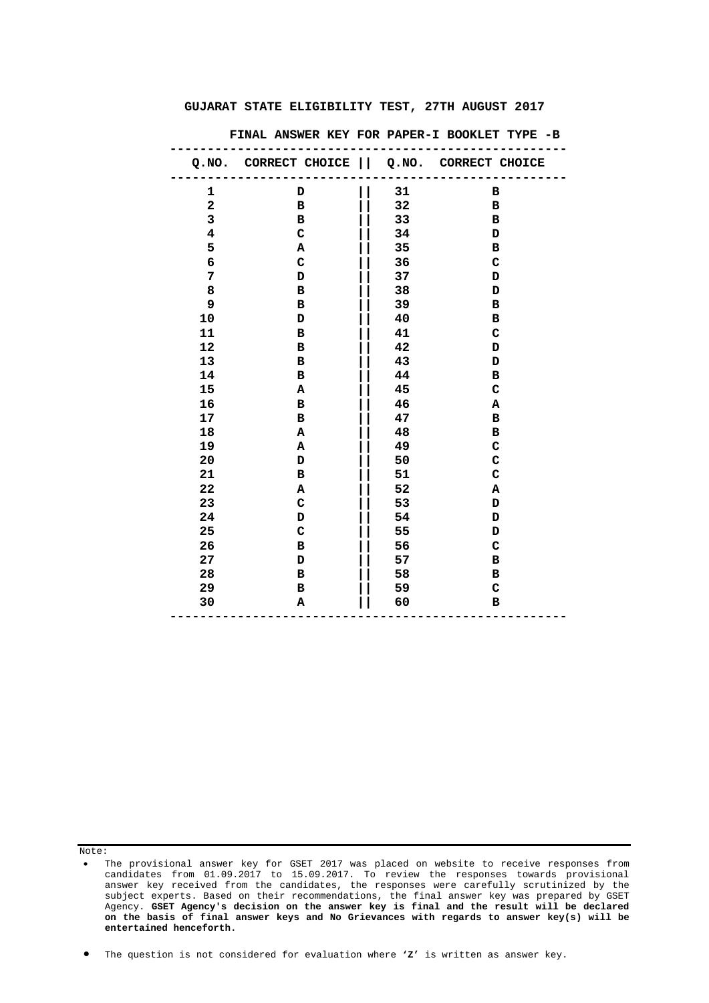|                         | Q.NO. CORRECT CHOICE    Q.NO. CORRECT CHOICE |    |             |
|-------------------------|----------------------------------------------|----|-------------|
| 1                       | D                                            | 31 | в           |
| $\overline{\mathbf{2}}$ | $\mathbf{B}$                                 | 32 | в           |
| 3                       | $\overline{B}$                               | 33 | в           |
| $\overline{\mathbf{4}}$ | $\mathbf C$                                  | 34 | D           |
| 5                       | Α                                            | 35 | в           |
| 6                       | $\mathbf C$                                  | 36 | $\mathbf C$ |
| 7                       | D                                            | 37 | D           |
| 8                       | в                                            | 38 | D           |
| 9                       | в                                            | 39 | в           |
| 10                      | D                                            | 40 | $\mathbf B$ |
| 11                      | в                                            | 41 | $\mathbf C$ |
| 12                      | в                                            | 42 | D           |
| 13                      | в                                            | 43 | D           |
| 14                      | $\mathbf{B}$                                 | 44 | $\mathbf B$ |
| 15                      | A                                            | 45 | $\mathbf C$ |
| 16                      | в                                            | 46 | А           |
| 17                      | в                                            | 47 | в           |
| 18                      | A                                            | 48 | в           |
| 19                      | A                                            | 49 | $\mathbf C$ |
| 20                      | D                                            | 50 | $\mathbf C$ |
| 21                      | в                                            | 51 | $\mathbf C$ |
| 22                      | A                                            | 52 | Α           |
| 23                      | $\mathbf C$                                  | 53 | D           |
| 24                      | D                                            | 54 | D           |
| 25                      | $\mathbf C$                                  | 55 | D           |
| 26                      | в                                            | 56 | C           |
| 27                      | D                                            | 57 | в           |
| 28                      | в                                            | 58 | в           |
| 29                      | в                                            | 59 | C           |
| 30                      | Α                                            | 60 | в           |
|                         |                                              |    |             |

 **FINAL ANSWER KEY FOR PAPER-I BOOKLET TYPE -B** 

Note:

• The question is not considered for evaluation where **'Z'** is written as answer key.

<sup>•</sup> The provisional answer key for GSET 2017 was placed on website to receive responses from candidates from 01.09.2017 to 15.09.2017. To review the responses towards provisional answer key received from the candidates, the responses were carefully scrutinized by the subject experts. Based on their recommendations, the final answer key was prepared by GSET Agency. **GSET Agency's decision on the answer key is final and the result will be declared on the basis of final answer keys and No Grievances with regards to answer key(s) will be entertained henceforth.**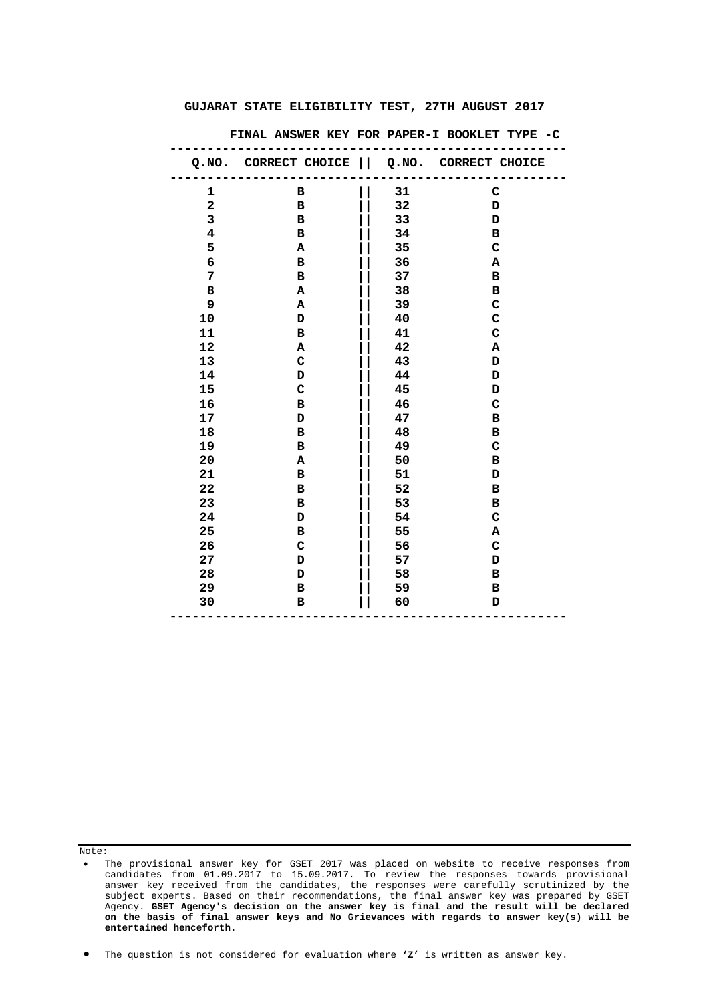|                         | Q.NO. CORRECT CHOICE   Q.NO. CORRECT CHOICE |    |             |
|-------------------------|---------------------------------------------|----|-------------|
| $\mathbf 1$             | в                                           | 31 | $\mathbf C$ |
| $\overline{\mathbf{2}}$ | в                                           | 32 | D           |
| 3                       | в                                           | 33 | D           |
| $\bf{4}$                | в                                           | 34 | в           |
| 5                       | Α                                           | 35 | $\mathbf C$ |
| 6                       | в                                           | 36 | A           |
| 7                       | в                                           | 37 | в           |
| 8                       | Α                                           | 38 | в           |
| 9                       | Α                                           | 39 | $\mathbf C$ |
| 10                      | D                                           | 40 | $\mathbf C$ |
| 11                      | $\mathbf B$                                 | 41 | $\mathbf C$ |
| 12                      | Α                                           | 42 | Α           |
| 13                      | $\mathbf C$                                 | 43 | D           |
| 14                      | D                                           | 44 | D           |
| 15                      | $\mathbf C$                                 | 45 | D           |
| 16                      | $\, {\bf B}$                                | 46 | $\mathbf C$ |
| 17                      | D                                           | 47 | $\mathbf B$ |
| 18                      | в                                           | 48 | в           |
| 19                      | в                                           | 49 | C           |
| 20                      | Α                                           | 50 | в           |
| 21                      | в                                           | 51 | D           |
| 22                      | в                                           | 52 | в           |
| 23                      | в                                           | 53 | в           |
| 24                      | D                                           | 54 | $\mathbf C$ |
| 25                      | в                                           | 55 | А           |
| 26                      | $\mathbf C$                                 | 56 | $\mathbf C$ |
| 27                      | D                                           | 57 | D           |
| 28                      | D                                           | 58 | в           |
| 29                      | в                                           | 59 | в           |
| 30                      | в                                           | 60 | D           |
|                         |                                             |    |             |

 **FINAL ANSWER KEY FOR PAPER-I BOOKLET TYPE -C** 

Note:

• The question is not considered for evaluation where **'Z'** is written as answer key.

<sup>•</sup> The provisional answer key for GSET 2017 was placed on website to receive responses from candidates from 01.09.2017 to 15.09.2017. To review the responses towards provisional answer key received from the candidates, the responses were carefully scrutinized by the subject experts. Based on their recommendations, the final answer key was prepared by GSET Agency. **GSET Agency's decision on the answer key is final and the result will be declared on the basis of final answer keys and No Grievances with regards to answer key(s) will be entertained henceforth.**